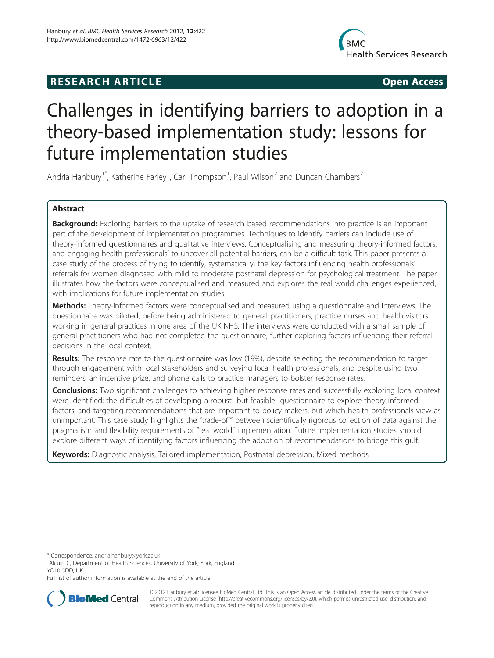# R E S EAR CH A R TIC L E Open Access



# Challenges in identifying barriers to adoption in a theory-based implementation study: lessons for future implementation studies

Andria Hanbury<sup>1\*</sup>, Katherine Farley<sup>1</sup>, Carl Thompson<sup>1</sup>, Paul Wilson<sup>2</sup> and Duncan Chambers<sup>2</sup>

# Abstract

Background: Exploring barriers to the uptake of research based recommendations into practice is an important part of the development of implementation programmes. Techniques to identify barriers can include use of theory-informed questionnaires and qualitative interviews. Conceptualising and measuring theory-informed factors, and engaging health professionals' to uncover all potential barriers, can be a difficult task. This paper presents a case study of the process of trying to identify, systematically, the key factors influencing health professionals' referrals for women diagnosed with mild to moderate postnatal depression for psychological treatment. The paper illustrates how the factors were conceptualised and measured and explores the real world challenges experienced, with implications for future implementation studies.

Methods: Theory-informed factors were conceptualised and measured using a questionnaire and interviews. The questionnaire was piloted, before being administered to general practitioners, practice nurses and health visitors working in general practices in one area of the UK NHS. The interviews were conducted with a small sample of general practitioners who had not completed the questionnaire, further exploring factors influencing their referral decisions in the local context.

Results: The response rate to the questionnaire was low (19%), despite selecting the recommendation to target through engagement with local stakeholders and surveying local health professionals, and despite using two reminders, an incentive prize, and phone calls to practice managers to bolster response rates.

**Conclusions:** Two significant challenges to achieving higher response rates and successfully exploring local context were identified: the difficulties of developing a robust- but feasible- questionnaire to explore theory-informed factors, and targeting recommendations that are important to policy makers, but which health professionals view as unimportant. This case study highlights the "trade-off" between scientifically rigorous collection of data against the pragmatism and flexibility requirements of "real world" implementation. Future implementation studies should explore different ways of identifying factors influencing the adoption of recommendations to bridge this gulf.

Keywords: Diagnostic analysis, Tailored implementation, Postnatal depression, Mixed methods

\* Correspondence: [andria.hanbury@york.ac.uk](mailto:andria.hanbury@york.ac.uk) <sup>1</sup>

<sup>1</sup> Alcuin C, Department of Health Sciences, University of York, York, England YO10 5DD, UK

Full list of author information is available at the end of the article



© 2012 Hanbury et al.; licensee BioMed Central Ltd. This is an Open Access article distributed under the terms of the Creative Commons Attribution License [\(http://creativecommons.org/licenses/by/2.0\)](http://creativecommons.org/licenses/by/2.0), which permits unrestricted use, distribution, and reproduction in any medium, provided the original work is properly cited.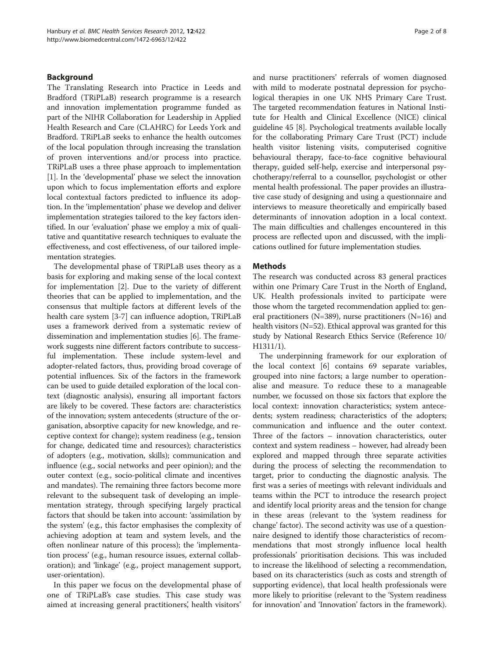#### Background

The Translating Research into Practice in Leeds and Bradford (TRiPLaB) research programme is a research and innovation implementation programme funded as part of the NIHR Collaboration for Leadership in Applied Health Research and Care (CLAHRC) for Leeds York and Bradford. TRiPLaB seeks to enhance the health outcomes of the local population through increasing the translation of proven interventions and/or process into practice. TRiPLaB uses a three phase approach to implementation [[1\]](#page-7-0). In the 'developmental' phase we select the innovation upon which to focus implementation efforts and explore local contextual factors predicted to influence its adoption. In the 'implementation' phase we develop and deliver implementation strategies tailored to the key factors identified. In our 'evaluation' phase we employ a mix of qualitative and quantitative research techniques to evaluate the effectiveness, and cost effectiveness, of our tailored implementation strategies.

The developmental phase of TRiPLaB uses theory as a basis for exploring and making sense of the local context for implementation [\[2](#page-7-0)]. Due to the variety of different theories that can be applied to implementation, and the consensus that multiple factors at different levels of the health care system [[3-7](#page-7-0)] can influence adoption, TRiPLaB uses a framework derived from a systematic review of dissemination and implementation studies [\[6](#page-7-0)]. The framework suggests nine different factors contribute to successful implementation. These include system-level and adopter-related factors, thus, providing broad coverage of potential influences. Six of the factors in the framework can be used to guide detailed exploration of the local context (diagnostic analysis), ensuring all important factors are likely to be covered. These factors are: characteristics of the innovation; system antecedents (structure of the organisation, absorptive capacity for new knowledge, and receptive context for change); system readiness (e.g., tension for change, dedicated time and resources); characteristics of adopters (e.g., motivation, skills); communication and influence (e.g., social networks and peer opinion); and the outer context (e.g., socio-political climate and incentives and mandates). The remaining three factors become more relevant to the subsequent task of developing an implementation strategy, through specifying largely practical factors that should be taken into account: 'assimilation by the system' (e.g., this factor emphasises the complexity of achieving adoption at team and system levels, and the often nonlinear nature of this process); the 'implementation process' (e.g., human resource issues, external collaboration); and 'linkage' (e.g., project management support, user-orientation).

In this paper we focus on the developmental phase of one of TRiPLaB's case studies. This case study was aimed at increasing general practitioners', health visitors'

and nurse practitioners' referrals of women diagnosed with mild to moderate postnatal depression for psychological therapies in one UK NHS Primary Care Trust. The targeted recommendation features in National Institute for Health and Clinical Excellence (NICE) clinical guideline 45 [\[8\]](#page-7-0). Psychological treatments available locally for the collaborating Primary Care Trust (PCT) include health visitor listening visits, computerised cognitive behavioural therapy, face-to-face cognitive behavioural therapy, guided self-help, exercise and interpersonal psychotherapy/referral to a counsellor, psychologist or other mental health professional. The paper provides an illustrative case study of designing and using a questionnaire and interviews to measure theoretically and empirically based determinants of innovation adoption in a local context. The main difficulties and challenges encountered in this process are reflected upon and discussed, with the implications outlined for future implementation studies.

# **Methods**

The research was conducted across 83 general practices within one Primary Care Trust in the North of England, UK. Health professionals invited to participate were those whom the targeted recommendation applied to: general practitioners (N=389), nurse practitioners (N=16) and health visitors (N=52). Ethical approval was granted for this study by National Research Ethics Service (Reference 10/ H1311/1).

The underpinning framework for our exploration of the local context [\[6](#page-7-0)] contains 69 separate variables, grouped into nine factors; a large number to operationalise and measure. To reduce these to a manageable number, we focussed on those six factors that explore the local context: innovation characteristics; system antecedents; system readiness; characteristics of the adopters; communication and influence and the outer context. Three of the factors – innovation characteristics, outer context and system readiness – however, had already been explored and mapped through three separate activities during the process of selecting the recommendation to target, prior to conducting the diagnostic analysis. The first was a series of meetings with relevant individuals and teams within the PCT to introduce the research project and identify local priority areas and the tension for change in these areas (relevant to the 'system readiness for change' factor). The second activity was use of a questionnaire designed to identify those characteristics of recommendations that most strongly influence local health professionals' prioritisation decisions. This was included to increase the likelihood of selecting a recommendation, based on its characteristics (such as costs and strength of supporting evidence), that local health professionals were more likely to prioritise (relevant to the 'System readiness for innovation' and 'Innovation' factors in the framework).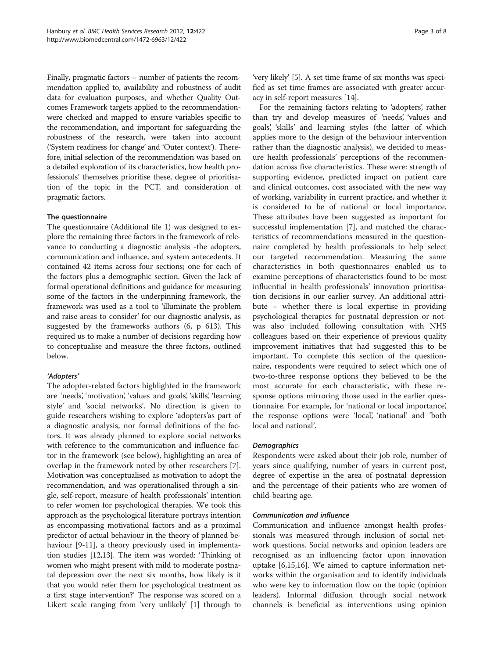Finally, pragmatic factors – number of patients the recommendation applied to, availability and robustness of audit data for evaluation purposes, and whether Quality Outcomes Framework targets applied to the recommendationwere checked and mapped to ensure variables specific to the recommendation, and important for safeguarding the robustness of the research, were taken into account ('System readiness for change' and 'Outer context'). Therefore, initial selection of the recommendation was based on a detailed exploration of its characteristics, how health professionals' themselves prioritise these, degree of prioritisation of the topic in the PCT, and consideration of pragmatic factors.

# The questionnaire

The questionnaire (Additional file [1](#page-6-0)) was designed to explore the remaining three factors in the framework of relevance to conducting a diagnostic analysis -the adopters, communication and influence, and system antecedents. It contained 42 items across four sections; one for each of the factors plus a demographic section. Given the lack of formal operational definitions and guidance for measuring some of the factors in the underpinning framework, the framework was used as a tool to 'illuminate the problem and raise areas to consider' for our diagnostic analysis, as suggested by the frameworks authors (6, p 613). This required us to make a number of decisions regarding how to conceptualise and measure the three factors, outlined below.

# 'Adopters'

The adopter-related factors highlighted in the framework are 'needs', 'motivation', 'values and goals', 'skills', 'learning style' and 'social networks'. No direction is given to guide researchers wishing to explore 'adopters'as part of a diagnostic analysis, nor formal definitions of the factors. It was already planned to explore social networks with reference to the communication and influence factor in the framework (see below), highlighting an area of overlap in the framework noted by other researchers [\[7](#page-7-0)]. Motivation was conceptualised as motivation to adopt the recommendation, and was operationalised through a single, self-report, measure of health professionals' intention to refer women for psychological therapies. We took this approach as the psychological literature portrays intention as encompassing motivational factors and as a proximal predictor of actual behaviour in the theory of planned be-haviour [\[9-11](#page-7-0)], a theory previously used in implementation studies [[12,13](#page-7-0)]. The item was worded: 'Thinking of women who might present with mild to moderate postnatal depression over the next six months, how likely is it that you would refer them for psychological treatment as a first stage intervention?' The response was scored on a Likert scale ranging from 'very unlikely' [[1\]](#page-7-0) through to

'very likely' [\[5\]](#page-7-0). A set time frame of six months was specified as set time frames are associated with greater accuracy in self-report measures [[14\]](#page-7-0).

For the remaining factors relating to 'adopters', rather than try and develop measures of 'needs', 'values and goals', 'skills' and learning styles (the latter of which applies more to the design of the behaviour intervention rather than the diagnostic analysis), we decided to measure health professionals' perceptions of the recommendation across five characteristics. These were: strength of supporting evidence, predicted impact on patient care and clinical outcomes, cost associated with the new way of working, variability in current practice, and whether it is considered to be of national or local importance. These attributes have been suggested as important for successful implementation [[7](#page-7-0)], and matched the characteristics of recommendations measured in the questionnaire completed by health professionals to help select our targeted recommendation. Measuring the same characteristics in both questionnaires enabled us to examine perceptions of characteristics found to be most influential in health professionals' innovation prioritisation decisions in our earlier survey. An additional attribute – whether there is local expertise in providing psychological therapies for postnatal depression or notwas also included following consultation with NHS colleagues based on their experience of previous quality improvement initiatives that had suggested this to be important. To complete this section of the questionnaire, respondents were required to select which one of two-to-three response options they believed to be the most accurate for each characteristic, with these response options mirroring those used in the earlier questionnaire. For example, for 'national or local importance', the response options were 'local', 'national' and 'both local and national'.

#### **Demographics**

Respondents were asked about their job role, number of years since qualifying, number of years in current post, degree of expertise in the area of postnatal depression and the percentage of their patients who are women of child-bearing age.

#### Communication and influence

Communication and influence amongst health professionals was measured through inclusion of social network questions. Social networks and opinion leaders are recognised as an influencing factor upon innovation uptake [\[6,15,16\]](#page-7-0). We aimed to capture information networks within the organisation and to identify individuals who were key to information flow on the topic (opinion leaders). Informal diffusion through social network channels is beneficial as interventions using opinion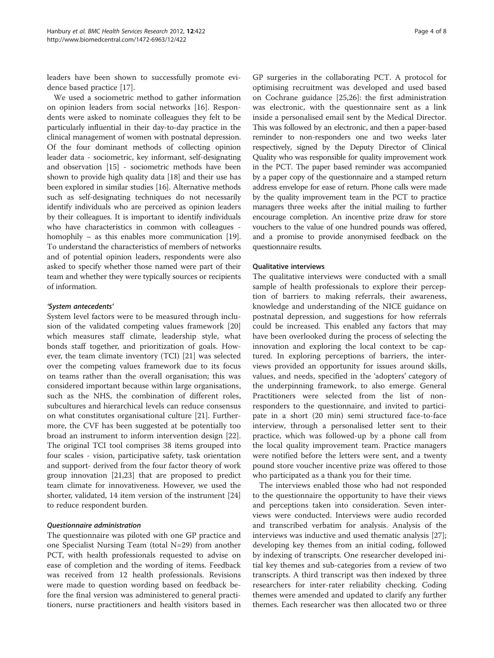leaders have been shown to successfully promote evidence based practice [[17\]](#page-7-0).

We used a sociometric method to gather information on opinion leaders from social networks [\[16](#page-7-0)]. Respondents were asked to nominate colleagues they felt to be particularly influential in their day-to-day practice in the clinical management of women with postnatal depression. Of the four dominant methods of collecting opinion leader data - sociometric, key informant, self-designating and observation [\[15\]](#page-7-0) - sociometric methods have been shown to provide high quality data [[18](#page-7-0)] and their use has been explored in similar studies [[16\]](#page-7-0). Alternative methods such as self-designating techniques do not necessarily identify individuals who are perceived as opinion leaders by their colleagues. It is important to identify individuals who have characteristics in common with colleagues homophily – as this enables more communication [[19](#page-7-0)]. To understand the characteristics of members of networks and of potential opinion leaders, respondents were also asked to specify whether those named were part of their team and whether they were typically sources or recipients of information.

#### 'System antecedents'

System level factors were to be measured through inclusion of the validated competing values framework [[20](#page-7-0)] which measures staff climate, leadership style, what bonds staff together, and prioritization of goals. However, the team climate inventory (TCI) [\[21\]](#page-7-0) was selected over the competing values framework due to its focus on teams rather than the overall organisation; this was considered important because within large organisations, such as the NHS, the combination of different roles, subcultures and hierarchical levels can reduce consensus on what constitutes organisational culture [[21\]](#page-7-0). Furthermore, the CVF has been suggested at be potentially too broad an instrument to inform intervention design [\[22](#page-7-0)]. The original TCI tool comprises 38 items grouped into four scales - vision, participative safety, task orientation and support- derived from the four factor theory of work group innovation [[21,23](#page-7-0)] that are proposed to predict team climate for innovativeness. However, we used the shorter, validated, 14 item version of the instrument [[24](#page-7-0)] to reduce respondent burden.

#### Questionnaire administration

The questionnaire was piloted with one GP practice and one Specialist Nursing Team (total N=29) from another PCT, with health professionals requested to advise on ease of completion and the wording of items. Feedback was received from 12 health professionals. Revisions were made to question wording based on feedback before the final version was administered to general practitioners, nurse practitioners and health visitors based in

GP surgeries in the collaborating PCT. A protocol for optimising recruitment was developed and used based on Cochrane guidance [[25](#page-7-0),[26](#page-7-0)]: the first administration was electronic, with the questionnaire sent as a link inside a personalised email sent by the Medical Director. This was followed by an electronic, and then a paper-based reminder to non-responders one and two weeks later respectively, signed by the Deputy Director of Clinical Quality who was responsible for quality improvement work in the PCT. The paper based reminder was accompanied by a paper copy of the questionnaire and a stamped return address envelope for ease of return. Phone calls were made by the quality improvement team in the PCT to practice managers three weeks after the initial mailing to further encourage completion. An incentive prize draw for store vouchers to the value of one hundred pounds was offered, and a promise to provide anonymised feedback on the questionnaire results.

#### Qualitative interviews

The qualitative interviews were conducted with a small sample of health professionals to explore their perception of barriers to making referrals, their awareness, knowledge and understanding of the NICE guidance on postnatal depression, and suggestions for how referrals could be increased. This enabled any factors that may have been overlooked during the process of selecting the innovation and exploring the local context to be captured. In exploring perceptions of barriers, the interviews provided an opportunity for issues around skills, values, and needs, specified in the 'adopters' category of the underpinning framework, to also emerge. General Practitioners were selected from the list of nonresponders to the questionnaire, and invited to participate in a short (20 min) semi structured face-to-face interview, through a personalised letter sent to their practice, which was followed-up by a phone call from the local quality improvement team. Practice managers were notified before the letters were sent, and a twenty pound store voucher incentive prize was offered to those who participated as a thank you for their time.

The interviews enabled those who had not responded to the questionnaire the opportunity to have their views and perceptions taken into consideration. Seven interviews were conducted. Interviews were audio recorded and transcribed verbatim for analysis. Analysis of the interviews was inductive and used thematic analysis [\[27](#page-7-0)]; developing key themes from an initial coding, followed by indexing of transcripts. One researcher developed initial key themes and sub-categories from a review of two transcripts. A third transcript was then indexed by three researchers for inter-rater reliability checking. Coding themes were amended and updated to clarify any further themes. Each researcher was then allocated two or three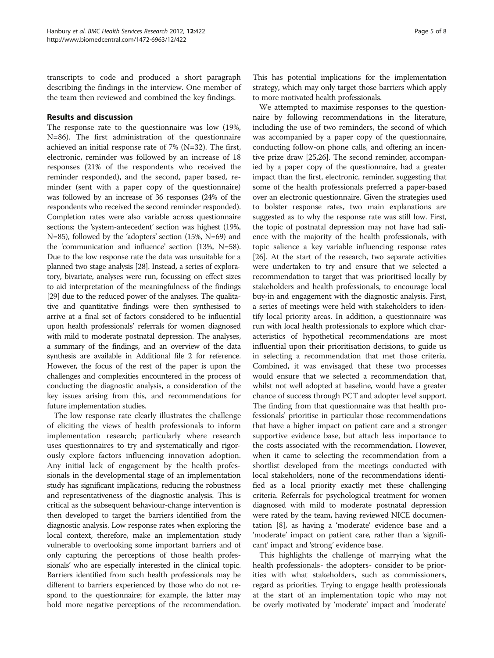transcripts to code and produced a short paragraph describing the findings in the interview. One member of the team then reviewed and combined the key findings.

# Results and discussion

The response rate to the questionnaire was low (19%, N=86). The first administration of the questionnaire achieved an initial response rate of 7% (N=32). The first, electronic, reminder was followed by an increase of 18 responses (21% of the respondents who received the reminder responded), and the second, paper based, reminder (sent with a paper copy of the questionnaire) was followed by an increase of 36 responses (24% of the respondents who received the second reminder responded). Completion rates were also variable across questionnaire sections; the 'system-antecedent' section was highest (19%, N=85), followed by the 'adopters' section (15%, N=69) and the 'communication and influence' section (13%, N=58). Due to the low response rate the data was unsuitable for a planned two stage analysis [\[28](#page-7-0)]. Instead, a series of exploratory, bivariate, analyses were run, focussing on effect sizes to aid interpretation of the meaningfulness of the findings [[29](#page-7-0)] due to the reduced power of the analyses. The qualitative and quantitative findings were then synthesised to arrive at a final set of factors considered to be influential upon health professionals' referrals for women diagnosed with mild to moderate postnatal depression. The analyses, a summary of the findings, and an overview of the data synthesis are available in Additional file [2](#page-6-0) for reference. However, the focus of the rest of the paper is upon the challenges and complexities encountered in the process of conducting the diagnostic analysis, a consideration of the key issues arising from this, and recommendations for future implementation studies.

The low response rate clearly illustrates the challenge of eliciting the views of health professionals to inform implementation research; particularly where research uses questionnaires to try and systematically and rigorously explore factors influencing innovation adoption. Any initial lack of engagement by the health professionals in the developmental stage of an implementation study has significant implications, reducing the robustness and representativeness of the diagnostic analysis. This is critical as the subsequent behaviour-change intervention is then developed to target the barriers identified from the diagnostic analysis. Low response rates when exploring the local context, therefore, make an implementation study vulnerable to overlooking some important barriers and of only capturing the perceptions of those health professionals' who are especially interested in the clinical topic. Barriers identified from such health professionals may be different to barriers experienced by those who do not respond to the questionnaire; for example, the latter may hold more negative perceptions of the recommendation. This has potential implications for the implementation strategy, which may only target those barriers which apply to more motivated health professionals.

We attempted to maximise responses to the questionnaire by following recommendations in the literature, including the use of two reminders, the second of which was accompanied by a paper copy of the questionnaire, conducting follow-on phone calls, and offering an incentive prize draw [[25,26](#page-7-0)]. The second reminder, accompanied by a paper copy of the questionnaire, had a greater impact than the first, electronic, reminder, suggesting that some of the health professionals preferred a paper-based over an electronic questionnaire. Given the strategies used to bolster response rates, two main explanations are suggested as to why the response rate was still low. First, the topic of postnatal depression may not have had salience with the majority of the health professionals, with topic salience a key variable influencing response rates [[26](#page-7-0)]. At the start of the research, two separate activities were undertaken to try and ensure that we selected a recommendation to target that was prioritised locally by stakeholders and health professionals, to encourage local buy-in and engagement with the diagnostic analysis. First, a series of meetings were held with stakeholders to identify local priority areas. In addition, a questionnaire was run with local health professionals to explore which characteristics of hypothetical recommendations are most influential upon their prioritisation decisions, to guide us in selecting a recommendation that met those criteria. Combined, it was envisaged that these two processes would ensure that we selected a recommendation that, whilst not well adopted at baseline, would have a greater chance of success through PCT and adopter level support. The finding from that questionnaire was that health professionals' prioritise in particular those recommendations that have a higher impact on patient care and a stronger supportive evidence base, but attach less importance to the costs associated with the recommendation. However, when it came to selecting the recommendation from a shortlist developed from the meetings conducted with local stakeholders, none of the recommendations identified as a local priority exactly met these challenging criteria. Referrals for psychological treatment for women diagnosed with mild to moderate postnatal depression were rated by the team, having reviewed NICE documentation [\[8](#page-7-0)], as having a 'moderate' evidence base and a 'moderate' impact on patient care, rather than a 'significant' impact and 'strong' evidence base.

This highlights the challenge of marrying what the health professionals- the adopters- consider to be priorities with what stakeholders, such as commissioners, regard as priorities. Trying to engage health professionals at the start of an implementation topic who may not be overly motivated by 'moderate' impact and 'moderate'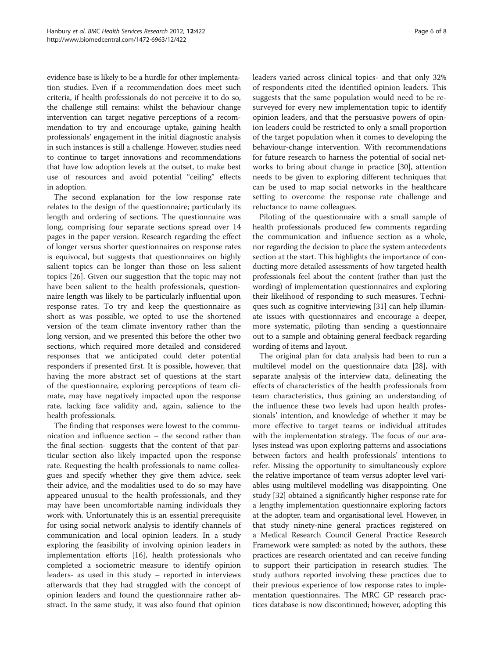evidence base is likely to be a hurdle for other implementation studies. Even if a recommendation does meet such criteria, if health professionals do not perceive it to do so, the challenge still remains: whilst the behaviour change intervention can target negative perceptions of a recommendation to try and encourage uptake, gaining health professionals' engagement in the initial diagnostic analysis in such instances is still a challenge. However, studies need to continue to target innovations and recommendations that have low adoption levels at the outset, to make best use of resources and avoid potential "ceiling" effects in adoption.

The second explanation for the low response rate relates to the design of the questionnaire; particularly its length and ordering of sections. The questionnaire was long, comprising four separate sections spread over 14 pages in the paper version. Research regarding the effect of longer versus shorter questionnaires on response rates is equivocal, but suggests that questionnaires on highly salient topics can be longer than those on less salient topics [\[26](#page-7-0)]. Given our suggestion that the topic may not have been salient to the health professionals, questionnaire length was likely to be particularly influential upon response rates. To try and keep the questionnaire as short as was possible, we opted to use the shortened version of the team climate inventory rather than the long version, and we presented this before the other two sections, which required more detailed and considered responses that we anticipated could deter potential responders if presented first. It is possible, however, that having the more abstract set of questions at the start of the questionnaire, exploring perceptions of team climate, may have negatively impacted upon the response rate, lacking face validity and, again, salience to the health professionals.

The finding that responses were lowest to the communication and influence section – the second rather than the final section- suggests that the content of that particular section also likely impacted upon the response rate. Requesting the health professionals to name colleagues and specify whether they give them advice, seek their advice, and the modalities used to do so may have appeared unusual to the health professionals, and they may have been uncomfortable naming individuals they work with. Unfortunately this is an essential prerequisite for using social network analysis to identify channels of communication and local opinion leaders. In a study exploring the feasibility of involving opinion leaders in implementation efforts [\[16](#page-7-0)], health professionals who completed a sociometric measure to identify opinion leaders- as used in this study – reported in interviews afterwards that they had struggled with the concept of opinion leaders and found the questionnaire rather abstract. In the same study, it was also found that opinion leaders varied across clinical topics- and that only 32% of respondents cited the identified opinion leaders. This suggests that the same population would need to be resurveyed for every new implementation topic to identify opinion leaders, and that the persuasive powers of opinion leaders could be restricted to only a small proportion of the target population when it comes to developing the behaviour-change intervention. With recommendations for future research to harness the potential of social networks to bring about change in practice [[30](#page-7-0)], attention needs to be given to exploring different techniques that can be used to map social networks in the healthcare setting to overcome the response rate challenge and reluctance to name colleagues.

Piloting of the questionnaire with a small sample of health professionals produced few comments regarding the communication and influence section as a whole, nor regarding the decision to place the system antecedents section at the start. This highlights the importance of conducting more detailed assessments of how targeted health professionals feel about the content (rather than just the wording) of implementation questionnaires and exploring their likelihood of responding to such measures. Techniques such as cognitive interviewing [\[31](#page-7-0)] can help illuminate issues with questionnaires and encourage a deeper, more systematic, piloting than sending a questionnaire out to a sample and obtaining general feedback regarding wording of items and layout.

The original plan for data analysis had been to run a multilevel model on the questionnaire data [\[28](#page-7-0)], with separate analysis of the interview data, delineating the effects of characteristics of the health professionals from team characteristics, thus gaining an understanding of the influence these two levels had upon health professionals' intention, and knowledge of whether it may be more effective to target teams or individual attitudes with the implementation strategy. The focus of our analyses instead was upon exploring patterns and associations between factors and health professionals' intentions to refer. Missing the opportunity to simultaneously explore the relative importance of team versus adopter level variables using multilevel modelling was disappointing. One study [\[32\]](#page-7-0) obtained a significantly higher response rate for a lengthy implementation questionnaire exploring factors at the adopter, team and organisational level. However, in that study ninety-nine general practices registered on a Medical Research Council General Practice Research Framework were sampled: as noted by the authors, these practices are research orientated and can receive funding to support their participation in research studies. The study authors reported involving these practices due to their previous experience of low response rates to implementation questionnaires. The MRC GP research practices database is now discontinued; however, adopting this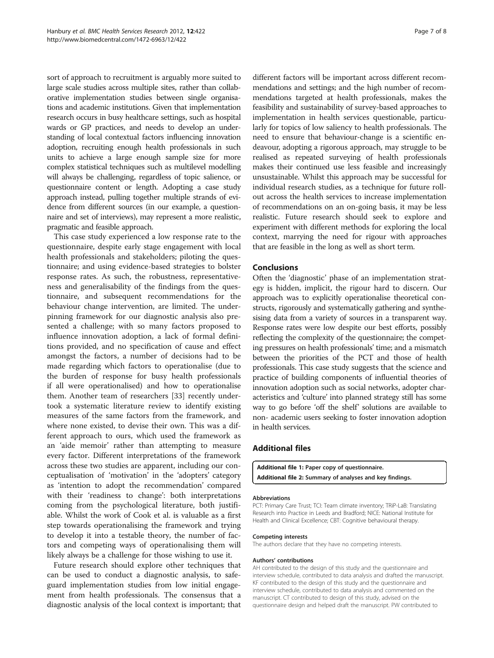<span id="page-6-0"></span>sort of approach to recruitment is arguably more suited to large scale studies across multiple sites, rather than collaborative implementation studies between single organisations and academic institutions. Given that implementation research occurs in busy healthcare settings, such as hospital wards or GP practices, and needs to develop an understanding of local contextual factors influencing innovation adoption, recruiting enough health professionals in such units to achieve a large enough sample size for more complex statistical techniques such as multilevel modelling will always be challenging, regardless of topic salience, or questionnaire content or length. Adopting a case study approach instead, pulling together multiple strands of evidence from different sources (in our example, a questionnaire and set of interviews), may represent a more realistic, pragmatic and feasible approach.

This case study experienced a low response rate to the questionnaire, despite early stage engagement with local health professionals and stakeholders; piloting the questionnaire; and using evidence-based strategies to bolster response rates. As such, the robustness, representativeness and generalisability of the findings from the questionnaire, and subsequent recommendations for the behaviour change intervention, are limited. The underpinning framework for our diagnostic analysis also presented a challenge; with so many factors proposed to influence innovation adoption, a lack of formal definitions provided, and no specification of cause and effect amongst the factors, a number of decisions had to be made regarding which factors to operationalise (due to the burden of response for busy health professionals if all were operationalised) and how to operationalise them. Another team of researchers [\[33\]](#page-7-0) recently undertook a systematic literature review to identify existing measures of the same factors from the framework, and where none existed, to devise their own. This was a different approach to ours, which used the framework as an 'aide memoir' rather than attempting to measure every factor. Different interpretations of the framework across these two studies are apparent, including our conceptualisation of 'motivation' in the 'adopters' category as 'intention to adopt the recommendation' compared with their 'readiness to change': both interpretations coming from the psychological literature, both justifiable. Whilst the work of Cook et al. is valuable as a first step towards operationalising the framework and trying to develop it into a testable theory, the number of factors and competing ways of operationalising them will likely always be a challenge for those wishing to use it.

Future research should explore other techniques that can be used to conduct a diagnostic analysis, to safeguard implementation studies from low initial engagement from health professionals. The consensus that a diagnostic analysis of the local context is important; that

different factors will be important across different recommendations and settings; and the high number of recommendations targeted at health professionals, makes the feasibility and sustainability of survey-based approaches to implementation in health services questionable, particularly for topics of low saliency to health professionals. The need to ensure that behaviour-change is a scientific endeavour, adopting a rigorous approach, may struggle to be realised as repeated surveying of health professionals makes their continued use less feasible and increasingly unsustainable. Whilst this approach may be successful for individual research studies, as a technique for future rollout across the health services to increase implementation of recommendations on an on-going basis, it may be less realistic. Future research should seek to explore and experiment with different methods for exploring the local context, marrying the need for rigour with approaches that are feasible in the long as well as short term.

# Conclusions

Often the 'diagnostic' phase of an implementation strategy is hidden, implicit, the rigour hard to discern. Our approach was to explicitly operationalise theoretical constructs, rigorously and systematically gathering and synthesising data from a variety of sources in a transparent way. Response rates were low despite our best efforts, possibly reflecting the complexity of the questionnaire; the competing pressures on health professionals' time; and a mismatch between the priorities of the PCT and those of health professionals. This case study suggests that the science and practice of building components of influential theories of innovation adoption such as social networks, adopter characteristics and 'culture' into planned strategy still has some way to go before 'off the shelf' solutions are available to non- academic users seeking to foster innovation adoption in health services.

# Additional files

[Additional file 1:](http://www.biomedcentral.com/content/supplementary/1472-6963-12-422-S1.pdf) Paper copy of questionnaire. [Additional file 2:](http://www.biomedcentral.com/content/supplementary/1472-6963-12-422-S2.pdf) Summary of analyses and key findings.

Abbreviations PCT: Primary Care Trust; TCI: Team climate inventory; TRiP-LaB: Translating Research into Practice in Leeds and Bradford; NICE: National Institute for Health and Clinical Excellence; CBT: Cognitive behavioural therapy.

#### Competing interests

The authors declare that they have no competing interests.

#### Authors' contributions

AH contributed to the design of this study and the questionnaire and interview schedule, contributed to data analysis and drafted the manuscript. KF contributed to the design of this study and the questionnaire and interview schedule, contributed to data analysis and commented on the manuscript. CT contributed to design of this study, advised on the questionnaire design and helped draft the manuscript. PW contributed to